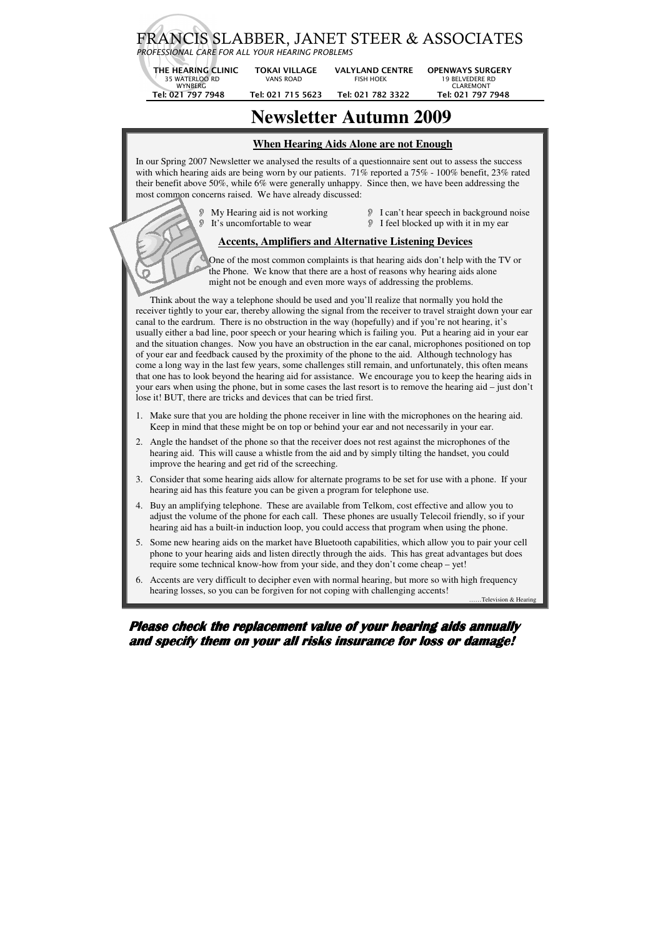# FRANCIS SLABBER, JANET STEER & ASSOCIATES

*PROFESSIONAL CARE FOR ALL YOUR HEARING PROBLEMS*

| THE HEARING CLINIC | <b>TOKAI VILLAGE</b> | <b>VALYLAND CENTRE</b> | <b>OPENWAYS SURGERY</b> |
|--------------------|----------------------|------------------------|-------------------------|
| 35 WATERLOO RD     | VANS ROAD            | FISH HOFK              | 19 BELVEDERE RD         |
| WYNBERG            |                      |                        | CI ARFMONT              |
| Tel: 021 797 7948  | Tel: 021 715 5623    | Tel: 021 782 3322      | Tel: 021 797 7948       |
|                    |                      |                        |                         |

# **Newsletter Autumn 2009**

#### **When Hearing Aids Alone are not Enough**

- 
- My Hearing aid is not working I can't hear speech in background noise **It's uncomfortable to wear I** feel blocked up with it in my ear

In our Spring 2007 Newsletter we analysed the results of a questionnaire sent out to assess the success with which hearing aids are being worn by our patients. 71% reported a 75% - 100% benefit, 23% rated their benefit above 50%, while 6% were generally unhappy. Since then, we have been addressing the most common concerns raised. We have already discussed:

#### **Accents, Amplifiers and Alternative Listening Devices**

 One of the most common complaints is that hearing aids don't help with the TV or the Phone. We know that there are a host of reasons why hearing aids alone might not be enough and even more ways of addressing the problems.

 Think about the way a telephone should be used and you'll realize that normally you hold the receiver tightly to your ear, thereby allowing the signal from the receiver to travel straight down your ear canal to the eardrum. There is no obstruction in the way (hopefully) and if you're not hearing, it's usually either a bad line, poor speech or your hearing which is failing you. Put a hearing aid in your ear and the situation changes. Now you have an obstruction in the ear canal, microphones positioned on top of your ear and feedback caused by the proximity of the phone to the aid. Although technology has come a long way in the last few years, some challenges still remain, and unfortunately, this often means that one has to look beyond the hearing aid for assistance. We encourage you to keep the hearing aids in your ears when using the phone, but in some cases the last resort is to remove the hearing aid – just don't lose it! BUT, there are tricks and devices that can be tried first.

- 1. Make sure that you are holding the phone receiver in line with the microphones on the hearing aid. Keep in mind that these might be on top or behind your ear and not necessarily in your ear.
- 2. Angle the handset of the phone so that the receiver does not rest against the microphones of the hearing aid. This will cause a whistle from the aid and by simply tilting the handset, you could improve the hearing and get rid of the screeching.
- 3. Consider that some hearing aids allow for alternate programs to be set for use with a phone. If your hearing aid has this feature you can be given a program for telephone use.
- 4. Buy an amplifying telephone. These are available from Telkom, cost effective and allow you to adjust the volume of the phone for each call. These phones are usually Telecoil friendly, so if your hearing aid has a built-in induction loop, you could access that program when using the phone.
- 5. Some new hearing aids on the market have Bluetooth capabilities, which allow you to pair your cell phone to your hearing aids and listen directly through the aids. This has great advantages but does require some technical know-how from your side, and they don't come cheap – yet!
- 6. Accents are very difficult to decipher even with normal hearing, but more so with high frequency hearing losses, so you can be forgiven for not coping with challenging accents!

..Television & Hearing

### **Please check the replacement value of your hearing aids annually and specify them on your all risks insurance for loss or damage!**